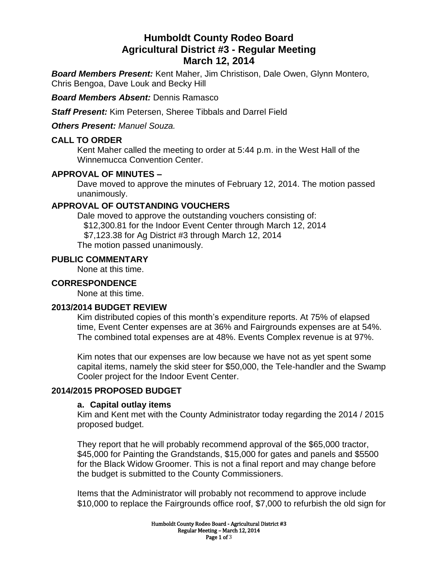# **Humboldt County Rodeo Board Agricultural District #3 - Regular Meeting March 12, 2014**

*Board Members Present:* Kent Maher, Jim Christison, Dale Owen, Glynn Montero, Chris Bengoa, Dave Louk and Becky Hill

*Board Members Absent:* Dennis Ramasco

*Staff Present:* Kim Petersen, Sheree Tibbals and Darrel Field

*Others Present: Manuel Souza.*

#### **CALL TO ORDER**

Kent Maher called the meeting to order at 5:44 p.m. in the West Hall of the Winnemucca Convention Center.

## **APPROVAL OF MINUTES –**

Dave moved to approve the minutes of February 12, 2014. The motion passed unanimously.

## **APPROVAL OF OUTSTANDING VOUCHERS**

Dale moved to approve the outstanding vouchers consisting of: \$12,300.81 for the Indoor Event Center through March 12, 2014 \$7,123.38 for Ag District #3 through March 12, 2014 The motion passed unanimously.

#### **PUBLIC COMMENTARY**

None at this time.

### **CORRESPONDENCE**

None at this time.

## **2013/2014 BUDGET REVIEW**

Kim distributed copies of this month's expenditure reports. At 75% of elapsed time, Event Center expenses are at 36% and Fairgrounds expenses are at 54%. The combined total expenses are at 48%. Events Complex revenue is at 97%.

Kim notes that our expenses are low because we have not as yet spent some capital items, namely the skid steer for \$50,000, the Tele-handler and the Swamp Cooler project for the Indoor Event Center.

## **2014/2015 PROPOSED BUDGET**

#### **a. Capital outlay items**

Kim and Kent met with the County Administrator today regarding the 2014 / 2015 proposed budget.

They report that he will probably recommend approval of the \$65,000 tractor, \$45,000 for Painting the Grandstands, \$15,000 for gates and panels and \$5500 for the Black Widow Groomer. This is not a final report and may change before the budget is submitted to the County Commissioners.

Items that the Administrator will probably not recommend to approve include \$10,000 to replace the Fairgrounds office roof, \$7,000 to refurbish the old sign for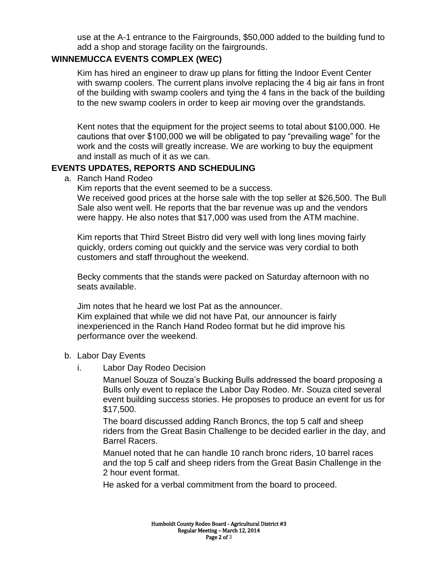use at the A-1 entrance to the Fairgrounds, \$50,000 added to the building fund to add a shop and storage facility on the fairgrounds.

## **WINNEMUCCA EVENTS COMPLEX (WEC)**

Kim has hired an engineer to draw up plans for fitting the Indoor Event Center with swamp coolers. The current plans involve replacing the 4 big air fans in front of the building with swamp coolers and tying the 4 fans in the back of the building to the new swamp coolers in order to keep air moving over the grandstands.

Kent notes that the equipment for the project seems to total about \$100,000. He cautions that over \$100,000 we will be obligated to pay "prevailing wage" for the work and the costs will greatly increase. We are working to buy the equipment and install as much of it as we can.

## **EVENTS UPDATES, REPORTS AND SCHEDULING**

a. Ranch Hand Rodeo

Kim reports that the event seemed to be a success.

We received good prices at the horse sale with the top seller at \$26,500. The Bull Sale also went well. He reports that the bar revenue was up and the vendors were happy. He also notes that \$17,000 was used from the ATM machine.

Kim reports that Third Street Bistro did very well with long lines moving fairly quickly, orders coming out quickly and the service was very cordial to both customers and staff throughout the weekend.

Becky comments that the stands were packed on Saturday afternoon with no seats available.

Jim notes that he heard we lost Pat as the announcer. Kim explained that while we did not have Pat, our announcer is fairly inexperienced in the Ranch Hand Rodeo format but he did improve his performance over the weekend.

## b. Labor Day Events

i. Labor Day Rodeo Decision

Manuel Souza of Souza's Bucking Bulls addressed the board proposing a Bulls only event to replace the Labor Day Rodeo. Mr. Souza cited several event building success stories. He proposes to produce an event for us for \$17,500.

The board discussed adding Ranch Broncs, the top 5 calf and sheep riders from the Great Basin Challenge to be decided earlier in the day, and Barrel Racers.

Manuel noted that he can handle 10 ranch bronc riders, 10 barrel races and the top 5 calf and sheep riders from the Great Basin Challenge in the 2 hour event format.

He asked for a verbal commitment from the board to proceed.